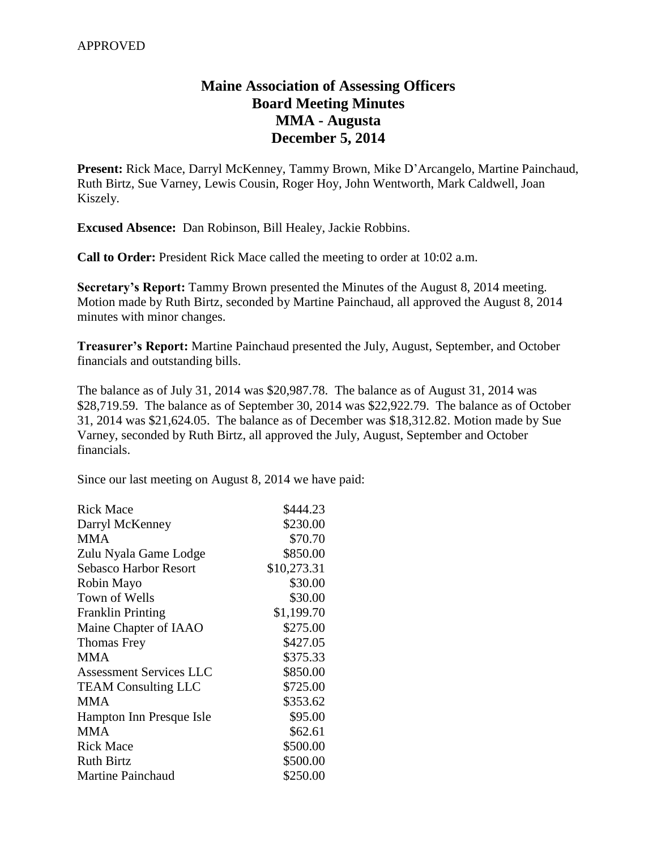# **Maine Association of Assessing Officers Board Meeting Minutes MMA - Augusta December 5, 2014**

**Present:** Rick Mace, Darryl McKenney, Tammy Brown, Mike D'Arcangelo, Martine Painchaud, Ruth Birtz, Sue Varney, Lewis Cousin, Roger Hoy, John Wentworth, Mark Caldwell, Joan Kiszely.

**Excused Absence:** Dan Robinson, Bill Healey, Jackie Robbins.

**Call to Order:** President Rick Mace called the meeting to order at 10:02 a.m.

**Secretary's Report:** Tammy Brown presented the Minutes of the August 8, 2014 meeting. Motion made by Ruth Birtz, seconded by Martine Painchaud, all approved the August 8, 2014 minutes with minor changes.

**Treasurer's Report:** Martine Painchaud presented the July, August, September, and October financials and outstanding bills.

The balance as of July 31, 2014 was \$20,987.78. The balance as of August 31, 2014 was \$28,719.59. The balance as of September 30, 2014 was \$22,922.79. The balance as of October 31, 2014 was \$21,624.05. The balance as of December was \$18,312.82. Motion made by Sue Varney, seconded by Ruth Birtz, all approved the July, August, September and October financials.

Since our last meeting on August 8, 2014 we have paid:

| Rick Mace                  | \$444.23    |
|----------------------------|-------------|
| Darryl McKenney            | \$230.00    |
| <b>MMA</b>                 | \$70.70     |
| Zulu Nyala Game Lodge      | \$850.00    |
| Sebasco Harbor Resort      | \$10,273.31 |
| Robin Mayo                 | \$30.00     |
| Town of Wells              | \$30.00     |
| <b>Franklin Printing</b>   | \$1,199.70  |
| Maine Chapter of IAAO      | \$275.00    |
| Thomas Frey                | \$427.05    |
| <b>MMA</b>                 | \$375.33    |
| Assessment Services LLC    | \$850.00    |
| <b>TEAM Consulting LLC</b> | \$725.00    |
| <b>MMA</b>                 | \$353.62    |
| Hampton Inn Presque Isle   | \$95.00     |
| <b>MMA</b>                 | \$62.61     |
| <b>Rick Mace</b>           | \$500.00    |
| <b>Ruth Birtz</b>          | \$500.00    |
| <b>Martine Painchaud</b>   | \$250.00    |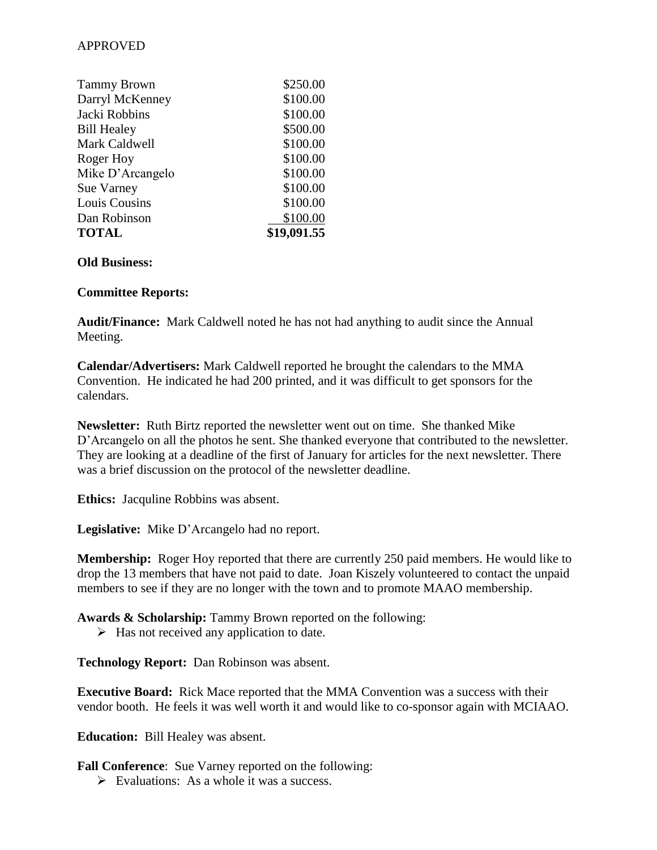## APPROVED

| <b>Tammy Brown</b> | \$250.00    |
|--------------------|-------------|
| Darryl McKenney    | \$100.00    |
| Jacki Robbins      | \$100.00    |
| <b>Bill Healey</b> | \$500.00    |
| Mark Caldwell      | \$100.00    |
| Roger Hoy          | \$100.00    |
| Mike D'Arcangelo   | \$100.00    |
| <b>Sue Varney</b>  | \$100.00    |
| Louis Cousins      | \$100.00    |
| Dan Robinson       | \$100.00    |
| <b>TOTAL</b>       | \$19,091.55 |

#### **Old Business:**

#### **Committee Reports:**

**Audit/Finance:** Mark Caldwell noted he has not had anything to audit since the Annual Meeting.

**Calendar/Advertisers:** Mark Caldwell reported he brought the calendars to the MMA Convention. He indicated he had 200 printed, and it was difficult to get sponsors for the calendars.

**Newsletter:** Ruth Birtz reported the newsletter went out on time. She thanked Mike D'Arcangelo on all the photos he sent. She thanked everyone that contributed to the newsletter. They are looking at a deadline of the first of January for articles for the next newsletter. There was a brief discussion on the protocol of the newsletter deadline.

**Ethics:** Jacquline Robbins was absent.

**Legislative:** Mike D'Arcangelo had no report.

**Membership:** Roger Hoy reported that there are currently 250 paid members. He would like to drop the 13 members that have not paid to date. Joan Kiszely volunteered to contact the unpaid members to see if they are no longer with the town and to promote MAAO membership.

**Awards & Scholarship:** Tammy Brown reported on the following:

 $\triangleright$  Has not received any application to date.

**Technology Report:** Dan Robinson was absent.

**Executive Board:** Rick Mace reported that the MMA Convention was a success with their vendor booth. He feels it was well worth it and would like to co-sponsor again with MCIAAO.

**Education:** Bill Healey was absent.

**Fall Conference**: Sue Varney reported on the following:

 $\triangleright$  Evaluations: As a whole it was a success.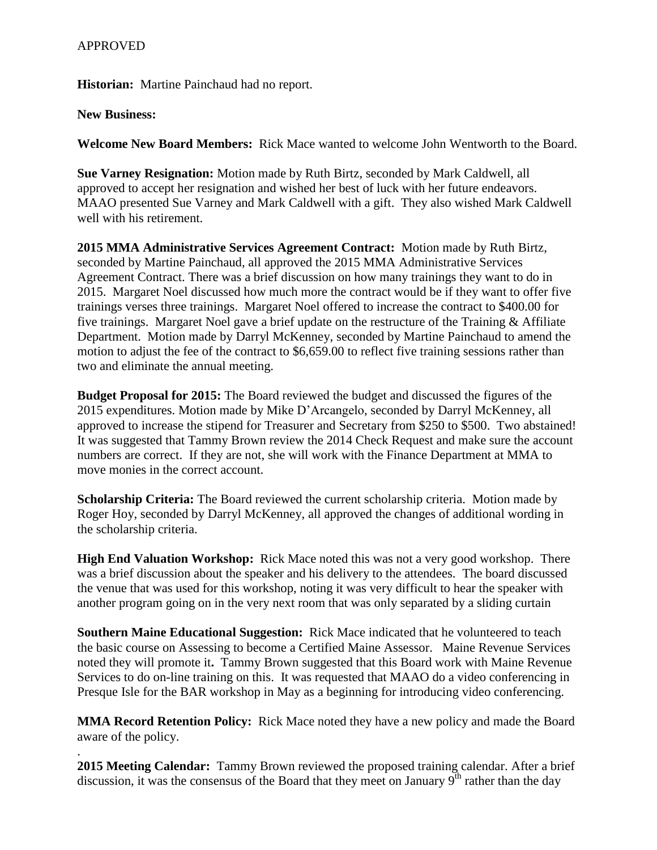### APPROVED

**Historian:** Martine Painchaud had no report.

## **New Business:**

.

**Welcome New Board Members:** Rick Mace wanted to welcome John Wentworth to the Board.

**Sue Varney Resignation:** Motion made by Ruth Birtz, seconded by Mark Caldwell, all approved to accept her resignation and wished her best of luck with her future endeavors. MAAO presented Sue Varney and Mark Caldwell with a gift. They also wished Mark Caldwell well with his retirement.

**2015 MMA Administrative Services Agreement Contract:** Motion made by Ruth Birtz, seconded by Martine Painchaud, all approved the 2015 MMA Administrative Services Agreement Contract. There was a brief discussion on how many trainings they want to do in 2015. Margaret Noel discussed how much more the contract would be if they want to offer five trainings verses three trainings. Margaret Noel offered to increase the contract to \$400.00 for five trainings. Margaret Noel gave a brief update on the restructure of the Training & Affiliate Department. Motion made by Darryl McKenney, seconded by Martine Painchaud to amend the motion to adjust the fee of the contract to \$6,659.00 to reflect five training sessions rather than two and eliminate the annual meeting.

**Budget Proposal for 2015:** The Board reviewed the budget and discussed the figures of the 2015 expenditures. Motion made by Mike D'Arcangelo, seconded by Darryl McKenney, all approved to increase the stipend for Treasurer and Secretary from \$250 to \$500. Two abstained! It was suggested that Tammy Brown review the 2014 Check Request and make sure the account numbers are correct. If they are not, she will work with the Finance Department at MMA to move monies in the correct account.

**Scholarship Criteria:** The Board reviewed the current scholarship criteria. Motion made by Roger Hoy, seconded by Darryl McKenney, all approved the changes of additional wording in the scholarship criteria.

**High End Valuation Workshop:** Rick Mace noted this was not a very good workshop. There was a brief discussion about the speaker and his delivery to the attendees. The board discussed the venue that was used for this workshop, noting it was very difficult to hear the speaker with another program going on in the very next room that was only separated by a sliding curtain

**Southern Maine Educational Suggestion:** Rick Mace indicated that he volunteered to teach the basic course on Assessing to become a Certified Maine Assessor. Maine Revenue Services noted they will promote it**.** Tammy Brown suggested that this Board work with Maine Revenue Services to do on-line training on this. It was requested that MAAO do a video conferencing in Presque Isle for the BAR workshop in May as a beginning for introducing video conferencing.

**MMA Record Retention Policy:** Rick Mace noted they have a new policy and made the Board aware of the policy.

**2015 Meeting Calendar:** Tammy Brown reviewed the proposed training calendar. After a brief discussion, it was the consensus of the Board that they meet on January  $9<sup>th</sup>$  rather than the day